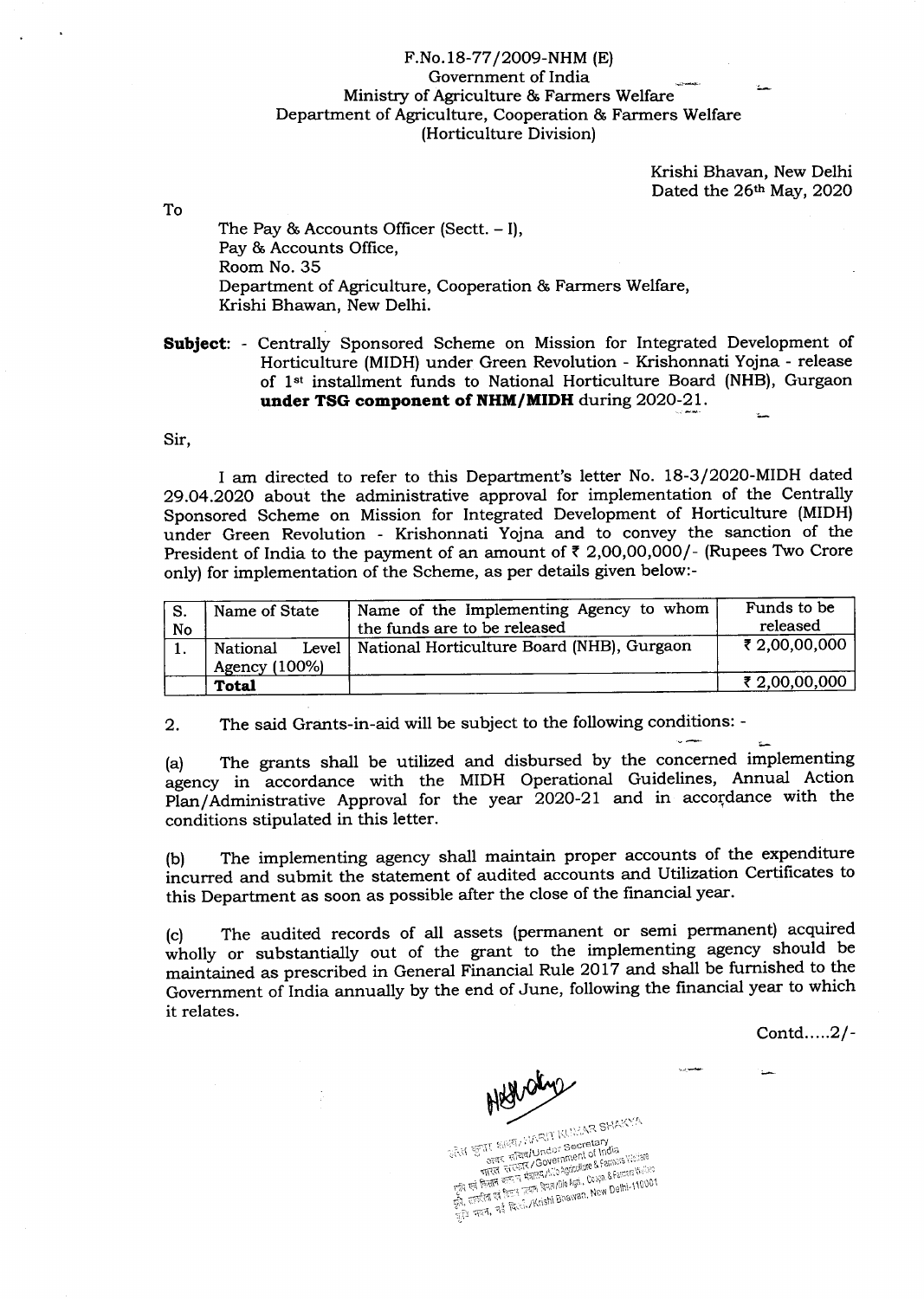## F.No. L8-77 / 2OO9-NHM (E) Government of India Ministry of Agriculture & Farmers Welfare Department of Agriculture, Cooperation & Farmers Welfare (Horticulture Division)

Krishi Bhavan, New Delhi Dated the 26th May, 2020

To

The Pay  $&$  Accounts Officer (Sectt.  $-1$ ), Pay & Accounts Office, Room No.35 Department of Agriculture, Cooperation & Farmers Welfare, Krishi Bhawan, New Delhi.

Subject: - Centrally Sponsored Scheme on Mission for Integrated Development of Horticulture (MIDH) under Green Revolution - Krishonnati Yojna - release of 1<sup>st</sup> installment funds to National Horticulture Board (NHB), Gurgaon under TSG component of NHM/MIDH during 2020-21.

Sir,

I am directed to refer to this Department's letter No. 18-3/2020-MIDH dated 29.04.2020 about the administrative approval for implementation of the Centrally Sponsored Scheme on Mission for Integrated Development of Horticulture (MIDH) under Green Revolution - Krishonnati Yojna and to convey the sanction of the President of India to the payment of an amount of  $\bar{\tau}$  2,00,00,000/- (Rupees Two Crore only) for implementation of the Scheme, as per details given below:-

| No | Name of State             | Name of the Implementing Agency to whom<br>the funds are to be released | Funds to be<br>released |
|----|---------------------------|-------------------------------------------------------------------------|-------------------------|
|    | National<br>Agency (100%) | Level   National Horticulture Board (NHB), Gurgaon                      | ₹ 2,00,00,000           |
|    | <b>Total</b>              |                                                                         | ₹ 2,00,00,000           |

2. The said Grants-in-aid will be subject to the following conditions: -

(a) The grants shall be utilized and disbursed by the concerned implementing agency in accordance with the MIDH Operational Guidelines, Annual Action Plan/Administrative Approval for the year 2020-21 and in accordance with the conditions stipulated in this letter.

(b) The implementing agency shall maintain proper accounts of the expenditure incurred and submit the statement of audited accounts and Utilization Certificates to this Department as soon as possible after the close of the financial year.

(c) The audited records of all assets (permanent or semi perrnanent) acquired wholly or substantially out of the grant to the implementing agency should be mainiained as prescribed in General Financial Rule 2017 and shall be furnished to the Government of India annually by the end of June, following the financial year to which it relates.

Contd.....2/-

Hed day

ATT SHA ETTE ENERTALIANCE: Secretary<br>
STRE ENERTAINMONT Secretary<br>
STRE ENERTA GOVERNMENT BERMINGS WASHER<br>
THE STRE HARRAL AND ARREST ALON - HTKH WEST HERREAN DANGER COOPD. & Famers Vissor<br>Do Rei Brith and Camp Rain/Dio Agri, Coopp. & Famers Vissor<br>Con, Respected Re Regional Actionic Engineers, New Delhi-11000 ) where the most of the state of the motion of the state of the state of the state of the state of the state of the state of the state of the state of the state of the state of the state of the state of the state of the st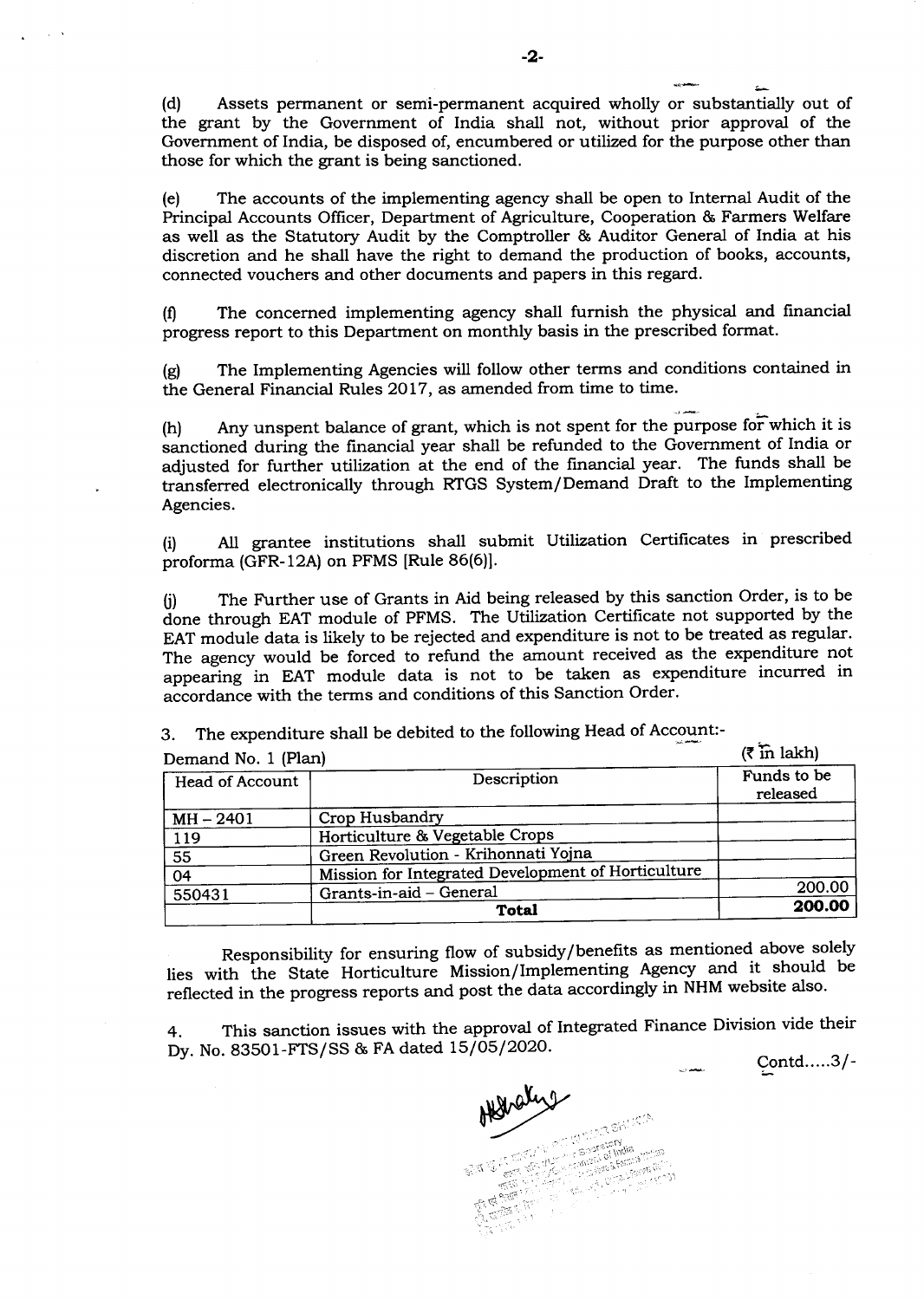4 (d) Assets perrnanent or semi-permanent acquired wholly or substantially out of the grant by the Ggvernment of India shall not, without prior approval of the Government of India, be disposed of, encumbered or utilized for the purpose other than those for which the grant is being sanctioned.

(e) The accounts of the implementing agency shall be open to Internal Audit of the Principal Accounts Officer, Department of Agriculture, Cooperation & Farmers Welfare as well as the Statutory Audit by the Comptroller & Auditor General of India at his discretion and he shall have the right to demand the production of books, accounts, connected vouchers and other documents and papers in this regard.

(0 The concerned implementing agency shall furnish the physical and financial progress report to this Department on monthly basis in the prescribed format.

(g) The Implementing Agencies will follow other terms and conditions contained in the General Financial Rules 2017, as amended from time to time.

(h) Any unspent balance of grant, which is not spent for the purpose for which it is sanctioned during the financial year shall be refunded to the Government of India or adjusted for further utilization at the end of the financial year. The funds shall be transferred electronically through RTGS System/Demand Draft to the Implementing Agencies.

(i) Atl grantee institutions shall submit Utilization Certificates in prescribed proforma (GFR-12A) on PFMS [Rule 86(6)].

(i) The Further use of Grants in Aid being released by this sanction Order, is to be ione through EAT module of PFMS. The Utilization Certificate not supported by the EAT module data is likely to be rejected and expenditure is not to be treated as regular. The agency would be forced to refund the amount received as the expenditure not appearing in EAT module data is not to be taken as expenditure incurred in accordance with the terms and conditions of this Sanction Order.

3. The expenditure shall be debited to the following Head of Account:-

| Demand No. 1 (Plan) | $(3 \text{ in } \lambda)$                          |                         |
|---------------------|----------------------------------------------------|-------------------------|
| Head of Account     | Description                                        | Funds to be<br>released |
| $MH - 2401$         | Crop Husbandry                                     |                         |
| 119                 | Horticulture & Vegetable Crops                     |                         |
| 55                  | Green Revolution - Krihonnati Yojna                |                         |
| 04                  | Mission for Integrated Development of Horticulture |                         |
| 550431              | Grants-in-aid - General                            | 200.00                  |
|                     | Total                                              | 200.00                  |

Responsibility for ensuring flow of subsidy/benefits as mentioned above solely lies with the State Horticulture Mission/Implementing Agency and it should be reflected in the progress reports and post the data accordingly in NHM website also.

4. This sanction issues with the approval of Integrated Finance Division vide their Dy. No. 83501-FTS/SS & FA dated 15/05/2020.

contd.....3/\_

Aldralys **MARIBHATA CONTRACTOR**<br>PUT The Section India<br>LES The Section India<br>LES The Section India

-2-